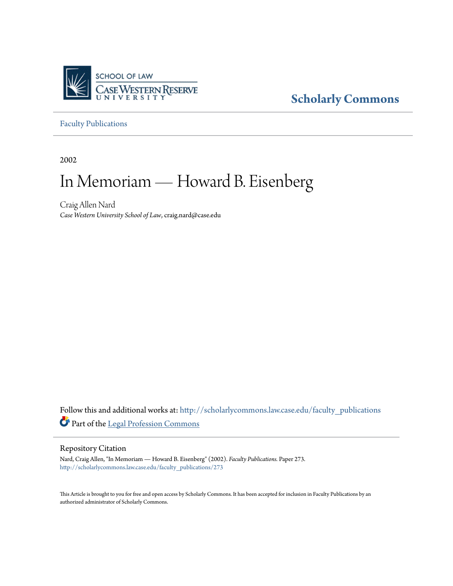

## **[Scholarly Commons](http://scholarlycommons.law.case.edu?utm_source=scholarlycommons.law.case.edu%2Ffaculty_publications%2F273&utm_medium=PDF&utm_campaign=PDFCoverPages)**

[Faculty Publications](http://scholarlycommons.law.case.edu/faculty_publications?utm_source=scholarlycommons.law.case.edu%2Ffaculty_publications%2F273&utm_medium=PDF&utm_campaign=PDFCoverPages)

2002

# In Memoriam — Howard B. Eisenberg

Craig Allen Nard *Case Western University School of Law*, craig.nard@case.edu

Follow this and additional works at: [http://scholarlycommons.law.case.edu/faculty\\_publications](http://scholarlycommons.law.case.edu/faculty_publications?utm_source=scholarlycommons.law.case.edu%2Ffaculty_publications%2F273&utm_medium=PDF&utm_campaign=PDFCoverPages) Part of the [Legal Profession Commons](http://network.bepress.com/hgg/discipline/1075?utm_source=scholarlycommons.law.case.edu%2Ffaculty_publications%2F273&utm_medium=PDF&utm_campaign=PDFCoverPages)

#### Repository Citation

Nard, Craig Allen, "In Memoriam — Howard B. Eisenberg" (2002). *Faculty Publications.* Paper 273. [http://scholarlycommons.law.case.edu/faculty\\_publications/273](http://scholarlycommons.law.case.edu/faculty_publications/273?utm_source=scholarlycommons.law.case.edu%2Ffaculty_publications%2F273&utm_medium=PDF&utm_campaign=PDFCoverPages)

This Article is brought to you for free and open access by Scholarly Commons. It has been accepted for inclusion in Faculty Publications by an authorized administrator of Scholarly Commons.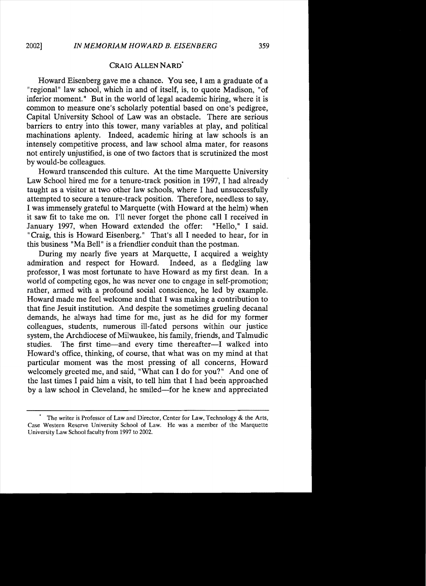### CRAIG ALLEN NARD'

Howard Eisenberg gave me a chance. You see, I am a graduate of a "regional" law school, which in and of itself, is, to quote Madison, "of inferior moment." But in the world of legal academic hiring, where it is common to measure one's scholarly potential based on one's pedigree, Capital University School of Law was an obstacle. There are serious barriers to entry into this tower, many variables at play, and political machinations aplenty. Indeed, academic hiring at law schools is an intensely competitive process, and law school alma mater, for reasons not entirely unjustified, is one of two factors that is scrutinized the most by would-be colleagues.

Howard transcended this culture. At the time Marquette University Law School hired me for a tenure-track position in 1997, I had already taught as a visitor at two other law schools, where I had unsuccessfully attempted to secure a tenure-track position. Therefore, needless to say, I was immensely grateful to Marquette (with Howard at the helm) when it saw fit to take me on. I'll never forget the phone call I received in January 1997, when Howard extended the offer: "Hello," I said. "Craig, this is Howard Eisenberg." That's all I needed to hear, for in this business "Ma Bell" is a friendlier conduit than the postman.

During my nearly five years at Marquette, I acquired a weighty admiration and respect for Howard. Indeed, as a fledgling law professor, I was most fortunate to have Howard as my first dean. In a world of competing egos, he was never one to engage in self-promotion; rather, armed with a profound social conscience, he led by example. Howard made me feel welcome and that I was making a contribution to that fine Jesuit institution. And despite the sometimes grueling decanal demands, he always had time for me, just as he did for my former colleagues, students, numerous ill-fated persons within our justice system, the Archdiocese of Milwaukee, his family, friends, and Talmudic studies. The first time-and every time thereafter-I walked into Howard's office, thinking, of course, that what was on my mind at that particular moment was the most pressing of all concerns, Howard welcomely greeted me, and said, "What can I do for you?" And one of the last times I paid him a visit, to tell him that I had been approached by a law school in Cleveland, he smiled-for he knew and appreciated

The writer is Professor of Law and Director, Center for Law, Technology & the Arts, Case Western Reserve University School of Law. He was a member of the Marquette University Law School faculty from 1997 to 2002.